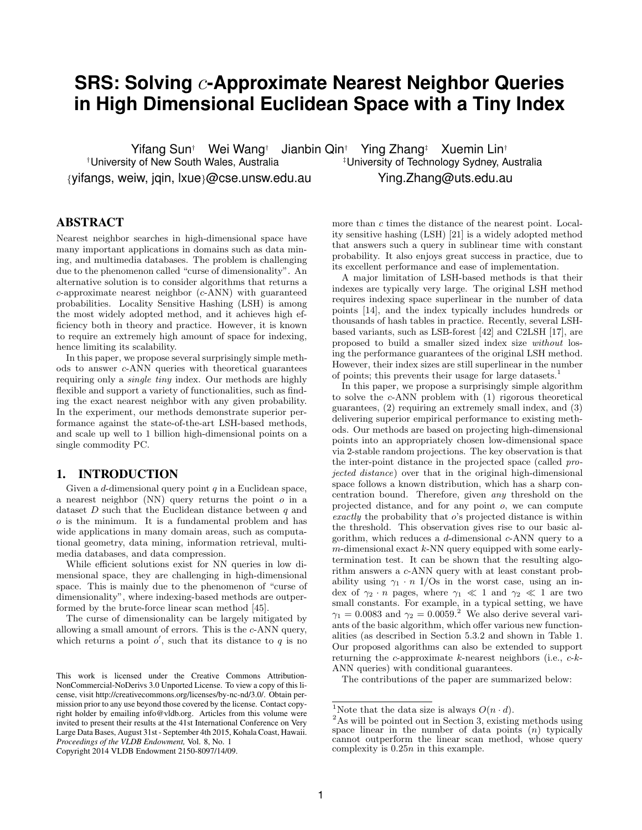# **SRS: Solving** c**-Approximate Nearest Neighbor Queries in High Dimensional Euclidean Space with a Tiny Index**

Yifang Sun<sup>†</sup> Wei Wang<sup>†</sup> Jianbin Qin<sup>†</sup> Ying Zhang<sup>‡</sup> Xuemin Lin<sup>†</sup><br>Puniversity of Technology Sydney, A<sup>†</sup>University of Technology Sydney, A {yifangs, weiw, jqin, lxue}@cse.unsw.edu.au Ying.Zhang@uts.edu.au

<sup>‡</sup>University of Technology Sydney, Australia

# ABSTRACT

Nearest neighbor searches in high-dimensional space have many important applications in domains such as data mining, and multimedia databases. The problem is challenging due to the phenomenon called "curse of dimensionality". An alternative solution is to consider algorithms that returns a c-approximate nearest neighbor (c-ANN) with guaranteed probabilities. Locality Sensitive Hashing (LSH) is among the most widely adopted method, and it achieves high efficiency both in theory and practice. However, it is known to require an extremely high amount of space for indexing, hence limiting its scalability.

In this paper, we propose several surprisingly simple methods to answer c-ANN queries with theoretical guarantees requiring only a single tiny index. Our methods are highly flexible and support a variety of functionalities, such as finding the exact nearest neighbor with any given probability. In the experiment, our methods demonstrate superior performance against the state-of-the-art LSH-based methods, and scale up well to 1 billion high-dimensional points on a single commodity PC.

# 1. INTRODUCTION

Given a  $d$ -dimensional query point  $q$  in a Euclidean space, a nearest neighbor (NN) query returns the point o in a dataset  $D$  such that the Euclidean distance between  $q$  and o is the minimum. It is a fundamental problem and has wide applications in many domain areas, such as computational geometry, data mining, information retrieval, multimedia databases, and data compression.

While efficient solutions exist for NN queries in low dimensional space, they are challenging in high-dimensional space. This is mainly due to the phenomenon of "curse of dimensionality", where indexing-based methods are outperformed by the brute-force linear scan method [45].

The curse of dimensionality can be largely mitigated by allowing a small amount of errors. This is the c-ANN query, which returns a point  $o'$ , such that its distance to  $q$  is no

Copyright 2014 VLDB Endowment 2150-8097/14/09.

more than c times the distance of the nearest point. Locality sensitive hashing (LSH) [21] is a widely adopted method that answers such a query in sublinear time with constant probability. It also enjoys great success in practice, due to its excellent performance and ease of implementation.

A major limitation of LSH-based methods is that their indexes are typically very large. The original LSH method requires indexing space superlinear in the number of data points [14], and the index typically includes hundreds or thousands of hash tables in practice. Recently, several LSHbased variants, such as LSB-forest [42] and C2LSH [17], are proposed to build a smaller sized index size without losing the performance guarantees of the original LSH method. However, their index sizes are still superlinear in the number of points; this prevents their usage for large datasets.<sup>1</sup>

In this paper, we propose a surprisingly simple algorithm to solve the c-ANN problem with (1) rigorous theoretical guarantees, (2) requiring an extremely small index, and (3) delivering superior empirical performance to existing methods. Our methods are based on projecting high-dimensional points into an appropriately chosen low-dimensional space via 2-stable random projections. The key observation is that the inter-point distance in the projected space (called projected distance) over that in the original high-dimensional space follows a known distribution, which has a sharp concentration bound. Therefore, given any threshold on the projected distance, and for any point o, we can compute exactly the probability that o's projected distance is within the threshold. This observation gives rise to our basic algorithm, which reduces a d-dimensional c-ANN query to a  $m$ -dimensional exact  $k$ -NN query equipped with some earlytermination test. It can be shown that the resulting algorithm answers a c-ANN query with at least constant probability using  $\gamma_1 \cdot n$  I/Os in the worst case, using an index of  $\gamma_2 \cdot n$  pages, where  $\gamma_1 \ll 1$  and  $\gamma_2 \ll 1$  are two small constants. For example, in a typical setting, we have  $\gamma_1 = 0.0083$  and  $\gamma_2 = 0.0059$ .<sup>2</sup> We also derive several variants of the basic algorithm, which offer various new functionalities (as described in Section 5.3.2 and shown in Table 1. Our proposed algorithms can also be extended to support returning the  $c$ -approximate  $k$ -nearest neighbors (i.e.,  $c$ - $k$ -ANN queries) with conditional guarantees.

The contributions of the paper are summarized below:

This work is licensed under the Creative Commons Attribution-NonCommercial-NoDerivs 3.0 Unported License. To view a copy of this license, visit http://creativecommons.org/licenses/by-nc-nd/3.0/. Obtain permission prior to any use beyond those covered by the license. Contact copyright holder by emailing info@vldb.org. Articles from this volume were invited to present their results at the 41st International Conference on Very Large Data Bases, August 31st - September 4th 2015, Kohala Coast, Hawaii. *Proceedings of the VLDB Endowment,* Vol. 8, No. 1

<sup>&</sup>lt;sup>1</sup>Note that the data size is always  $O(n \cdot d)$ .

<sup>2</sup>As will be pointed out in Section 3, existing methods using space linear in the number of data points  $(n)$  typically cannot outperform the linear scan method, whose query complexity is  $0.25n$  in this example.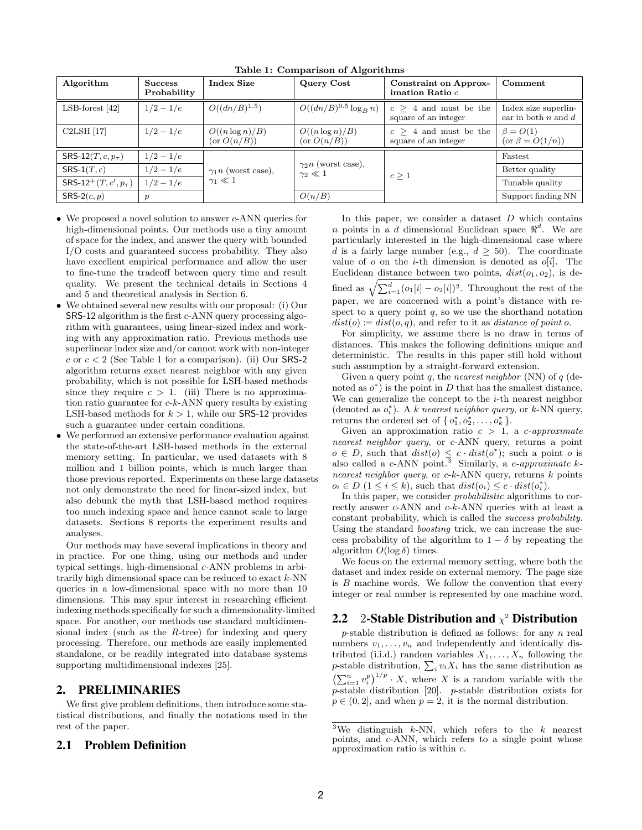| Algorithm                               | <b>Success</b><br>Probability | <b>Index Size</b>                          | Query Cost                                    | <b>Constraint on Approx-</b><br>imation Ratio $c$ | Comment                                         |  |
|-----------------------------------------|-------------------------------|--------------------------------------------|-----------------------------------------------|---------------------------------------------------|-------------------------------------------------|--|
| $LSB$ -forest [42]                      | $1/2 - 1/e$                   | $O((dn/B)^{1.5})$                          | $O((dn/B)^{0.5} \log_B n)$                    | $c > 4$ and must be the<br>square of an integer   | Index size superlin-<br>ear in both $n$ and $d$ |  |
| C2LSH [17]                              | $1/2 - 1/e$                   | $O((n \log n)/B)$<br>$(\text{or } O(n/B))$ | $O((n \log n)/B)$<br>$(\text{or } O(n/B))$    | $c > 4$ and must be the<br>square of an integer   | $\beta = O(1)$<br>(or $\beta = O(1/n)$ )        |  |
| SRS-12 $(T, c, p_{\tau})$               | $1/2 - 1/e$                   |                                            |                                               |                                                   | Fastest                                         |  |
| $SRS-1(T, c)$                           | $1/2 - 1/e$                   | $\gamma_1 n$ (worst case),                 | $\gamma_2 n$ (worst case),<br>$\gamma_2\ll 1$ | c > 1                                             | Better quality                                  |  |
| SRS-12 <sup>+</sup> $(T, c', p_{\tau})$ | $1/2 - 1/e$                   | $\gamma_1 \ll 1$                           |                                               |                                                   | Tunable quality                                 |  |
| SRS-2 $(c, p)$                          | $\boldsymbol{p}$              |                                            | O(n/B)                                        |                                                   | Support finding NN                              |  |

Table 1: Comparison of Algorithms

- We proposed a novel solution to answer c-ANN queries for high-dimensional points. Our methods use a tiny amount of space for the index, and answer the query with bounded I/O costs and guaranteed success probability. They also have excellent empirical performance and allow the user to fine-tune the tradeoff between query time and result quality. We present the technical details in Sections 4 and 5 and theoretical analysis in Section 6.
- We obtained several new results with our proposal: (i) Our SRS-12 algorithm is the first c-ANN query processing algorithm with guarantees, using linear-sized index and working with any approximation ratio. Previous methods use superlinear index size and/or cannot work with non-integer c or  $c < 2$  (See Table 1 for a comparison). (ii) Our SRS-2 algorithm returns exact nearest neighbor with any given probability, which is not possible for LSH-based methods since they require  $c > 1$ . (iii) There is no approximation ratio guarantee for  $c-k$ -ANN query results by existing LSH-based methods for  $k > 1$ , while our SRS-12 provides such a guarantee under certain conditions.
- We performed an extensive performance evaluation against the state-of-the-art LSH-based methods in the external memory setting. In particular, we used datasets with 8 million and 1 billion points, which is much larger than those previous reported. Experiments on these large datasets not only demonstrate the need for linear-sized index, but also debunk the myth that LSH-based method requires too much indexing space and hence cannot scale to large datasets. Sections 8 reports the experiment results and analyses.

Our methods may have several implications in theory and in practice. For one thing, using our methods and under typical settings, high-dimensional c-ANN problems in arbitrarily high dimensional space can be reduced to exact  $k$ -NN queries in a low-dimensional space with no more than 10 dimensions. This may spur interest in researching efficient indexing methods specifically for such a dimensionality-limited space. For another, our methods use standard multidimensional index (such as the  $R$ -tree) for indexing and query processing. Therefore, our methods are easily implemented standalone, or be readily integrated into database systems supporting multidimensional indexes [25].

# 2. PRELIMINARIES

We first give problem definitions, then introduce some statistical distributions, and finally the notations used in the rest of the paper.

# 2.1 Problem Definition

In this paper, we consider a dataset  $D$  which contains n points in a d dimensional Euclidean space  $\mathbb{R}^d$ . We are particularly interested in the high-dimensional case where d is a fairly large number (e.g.,  $d \geq 50$ ). The coordinate value of  $o$  on the *i*-th dimension is denoted as  $o[i]$ . The Euclidean distance between two points,  $dist(o_1, o_2)$ , is defined as  $\sqrt{\sum_{i=1}^d (o_1[i] - o_2[i])^2}$ . Throughout the rest of the paper, we are concerned with a point's distance with respect to a query point  $q$ , so we use the shorthand notation  $dist(o) \coloneqq dist(o, q)$ , and refer to it as *distance of point o*.

For simplicity, we assume there is no draw in terms of distances. This makes the following definitions unique and deterministic. The results in this paper still hold without such assumption by a straight-forward extension.

Given a query point q, the nearest neighbor (NN) of  $q$  (denoted as  $o^*$ ) is the point in D that has the smallest distance. We can generalize the concept to the  $i$ -th nearest neighbor (denoted as  $o_i^*$ ). A k nearest neighbor query, or k-NN query, returns the ordered set of  $\{o_1^*, o_2^*, \ldots, o_k^*\}$ .

Given an approximation ratio  $c > 1$ , a *c*-approximate nearest neighbor query, or c-ANN query, returns a point  $o \in D$ , such that  $dist(o) \leq c \cdot dist(o^*)$ ; such a point o is also called a  $c$ -ANN point.<sup>3</sup> Similarly, a  $c$ -approximate  $k$ nearest neighbor query, or  $c-k$ -ANN query, returns  $k$  points  $o_i \in D$   $(1 \leq i \leq k)$ , such that  $dist(o_i) \leq c \cdot dist(o_i^*)$ .

In this paper, we consider probabilistic algorithms to correctly answer c-ANN and c-k-ANN queries with at least a constant probability, which is called the success probability. Using the standard boosting trick, we can increase the success probability of the algorithm to  $1 - \delta$  by repeating the algorithm  $O(\log \delta)$  times.

We focus on the external memory setting, where both the dataset and index reside on external memory. The page size is  $B$  machine words. We follow the convention that every integer or real number is represented by one machine word.

# 2.2 2-Stable Distribution and  $\chi^2$  Distribution

 $p$ -stable distribution is defined as follows: for any  $n$  real numbers  $v_1, \ldots, v_n$  and independently and identically distributed (i.i.d.) random variables  $X_1, \ldots, X_n$  following the *p*-stable distribution,  $\sum_i v_i X_i$  has the same distribution as  $\left(\sum_{i=1}^n v_i^p\right)^{1/p} \cdot X$ , where X is a random variable with the p-stable distribution [20]. p-stable distribution exists for  $p \in (0, 2]$ , and when  $p = 2$ , it is the normal distribution.

<sup>&</sup>lt;sup>3</sup>We distinguish  $k$ -NN, which refers to the  $k$  nearest points, and c-ANN, which refers to a single point whose approximation ratio is within c.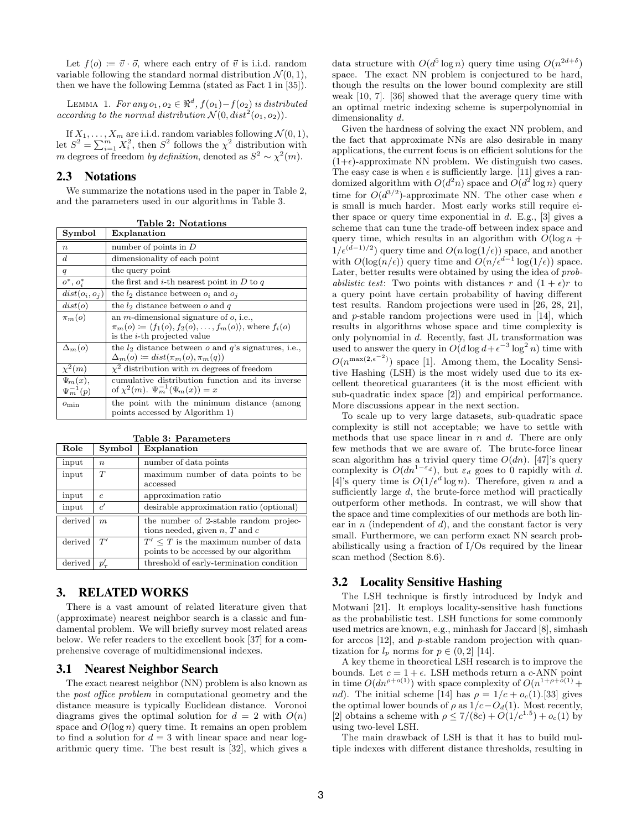Let  $f(o) \coloneqq \vec{v} \cdot \vec{o}$ , where each entry of  $\vec{v}$  is i.i.d. random variable following the standard normal distribution  $\mathcal{N}(0, 1)$ , then we have the following Lemma (stated as Fact 1 in [35]).

LEMMA 1. For any  $o_1, o_2 \in \mathbb{R}^d$ ,  $f(o_1) - f(o_2)$  is distributed according to the normal distribution  $\mathcal{N}(0, dist^2(o_1, o_2))$ .

If  $X_1, \ldots, X_m$  are i.i.d. random variables following  $\mathcal{N}(0, 1)$ , let  $S^2 = \sum_{i=1}^m X_i^2$ , then  $S^2$  follows the  $\chi^2$  distribution with m degrees of freedom by definition, denoted as  $S^2 \sim \chi^2(m)$ .

# 2.3 Notations

We summarize the notations used in the paper in Table 2, and the parameters used in our algorithms in Table 3.

| Symbol           | Explanation                                                                                                                                                                      |
|------------------|----------------------------------------------------------------------------------------------------------------------------------------------------------------------------------|
| $\boldsymbol{n}$ | number of points in $D$                                                                                                                                                          |
| $\boldsymbol{d}$ | dimensionality of each point                                                                                                                                                     |
| q                | the query point                                                                                                                                                                  |
| $o^*, o_i^*$     | the first and <i>i</i> -th nearest point in $D$ to $q$                                                                                                                           |
| $dist(o_i, o_j)$ | the $l_2$ distance between $o_i$ and $o_j$                                                                                                                                       |
| dist(o)          | the $l_2$ distance between $o$ and $q$                                                                                                                                           |
| $\pi_m(o)$       | an <i>m</i> -dimensional signature of $o$ , i.e.,<br>$\pi_m(o) \coloneqq \langle f_1(o), f_2(o), \ldots, f_m(o) \rangle$ , where $f_i(o)$<br>is the <i>i</i> -th projected value |
| $\Delta_m(o)$    | the $l_2$ distance between $o$ and $q$ 's signatures, i.e.,<br>$\Delta_m(o) \coloneqq dist(\pi_m(o), \pi_m(q))$                                                                  |
| $\chi^2(m)$      | $\chi^2$ distribution with m degrees of freedom                                                                                                                                  |
| $\Psi_m(x),$     | cumulative distribution function and its inverse                                                                                                                                 |
| $\Psi_m^{-1}(p)$ | of $\chi^2(m)$ . $\Psi_m^{-1}(\Psi_m(x)) = x$                                                                                                                                    |
| $o_{\min}$       | the point with the minimum distance (among<br>points accessed by Algorithm 1)                                                                                                    |

Table 2: Notations

|  | Table 3: Parameters |
|--|---------------------|
|  |                     |

| Role    | Symbol      | Explanation                                                                      |
|---------|-------------|----------------------------------------------------------------------------------|
| input   | $n_{\cdot}$ | number of data points                                                            |
| input   | T           | maximum number of data points to be<br>accessed                                  |
| input   | $\epsilon$  | approximation ratio                                                              |
| input   | c'          | desirable approximation ratio (optional)                                         |
| derived | m           | the number of 2-stable random projec-<br>tions needed, given $n, T$ and $c$      |
| derived | T'          | $T'$ < T is the maximum number of data<br>points to be accessed by our algorithm |
| derived | $p_{\tau}'$ | threshold of early-termination condition                                         |

# 3. RELATED WORKS

There is a vast amount of related literature given that (approximate) nearest neighbor search is a classic and fundamental problem. We will briefly survey most related areas below. We refer readers to the excellent book [37] for a comprehensive coverage of multidimensional indexes.

# 3.1 Nearest Neighbor Search

The exact nearest neighbor (NN) problem is also known as the post office problem in computational geometry and the distance measure is typically Euclidean distance. Voronoi diagrams gives the optimal solution for  $d = 2$  with  $O(n)$ space and  $O(\log n)$  query time. It remains an open problem to find a solution for  $d = 3$  with linear space and near logarithmic query time. The best result is [32], which gives a

data structure with  $O(d^5 \log n)$  query time using  $O(n^{2d+\delta})$ space. The exact NN problem is conjectured to be hard, though the results on the lower bound complexity are still weak [10, 7]. [36] showed that the average query time with an optimal metric indexing scheme is superpolynomial in dimensionality d.

Given the hardness of solving the exact NN problem, and the fact that approximate NNs are also desirable in many applications, the current focus is on efficient solutions for the  $(1+\epsilon)$ -approximate NN problem. We distinguish two cases. The easy case is when  $\epsilon$  is sufficiently large. [11] gives a randomized algorithm with  $O(d^2n)$  space and  $O(d^2 \log n)$  query time for  $O(d^{3/2})$ -approximate NN. The other case when  $\epsilon$ is small is much harder. Most early works still require either space or query time exponential in  $d$ . E.g., [3] gives a scheme that can tune the trade-off between index space and query time, which results in an algorithm with  $O(\log n +$  $1/\epsilon^{(d-1)/2}$  query time and  $O(n \log(1/\epsilon))$  space, and another with  $O(\log(n/\epsilon))$  query time and  $O(n/\epsilon^{d-1} \log(1/\epsilon))$  space. Later, better results were obtained by using the idea of prob*abilistic test*: Two points with distances r and  $(1 + \epsilon)r$  to a query point have certain probability of having different test results. Random projections were used in [26, 28, 21], and p-stable random projections were used in [14], which results in algorithms whose space and time complexity is only polynomial in d. Recently, fast JL transformation was used to answer the query in  $O(d \log d + \epsilon^{-3} \log^2 n)$  time with  $O(n^{\max(2,\epsilon^{-2})})$  space [1]. Among them, the Locality Sensitive Hashing (LSH) is the most widely used due to its excellent theoretical guarantees (it is the most efficient with sub-quadratic index space [2]) and empirical performance. More discussions appear in the next section.

To scale up to very large datasets, sub-quadratic space complexity is still not acceptable; we have to settle with methods that use space linear in  $n$  and  $d$ . There are only few methods that we are aware of. The brute-force linear scan algorithm has a trivial query time  $O(dn)$ . [47]'s query complexity is  $O(dn^{1-\epsilon_d})$ , but  $\varepsilon_d$  goes to 0 rapidly with d. [4]'s query time is  $O(1/\epsilon^d \log n)$ . Therefore, given n and a sufficiently large d, the brute-force method will practically outperform other methods. In contrast, we will show that the space and time complexities of our methods are both linear in  $n$  (independent of  $d$ ), and the constant factor is very small. Furthermore, we can perform exact NN search probabilistically using a fraction of I/Os required by the linear scan method (Section 8.6).

# 3.2 Locality Sensitive Hashing

The LSH technique is firstly introduced by Indyk and Motwani [21]. It employs locality-sensitive hash functions as the probabilistic test. LSH functions for some commonly used metrics are known, e.g., minhash for Jaccard [8], simhash for arccos [12], and p-stable random projection with quantization for  $l_p$  norms for  $p \in (0, 2]$  [14].

A key theme in theoretical LSH research is to improve the bounds. Let  $c = 1 + \epsilon$ . LSH methods return a c-ANN point in time  $O(dn^{\rho+o(1)})$  with space complexity of  $O(n^{1+\rho+o(1)}+$ nd). The initial scheme [14] has  $\rho = 1/c + o_c(1)$ .[33] gives the optimal lower bounds of  $\rho$  as  $1/c-O_d(1)$ . Most recently, [2] obtains a scheme with  $\rho \le 7/(8c) + O(1/c^{1.5}) + o_c(1)$  by using two-level LSH.

The main drawback of LSH is that it has to build multiple indexes with different distance thresholds, resulting in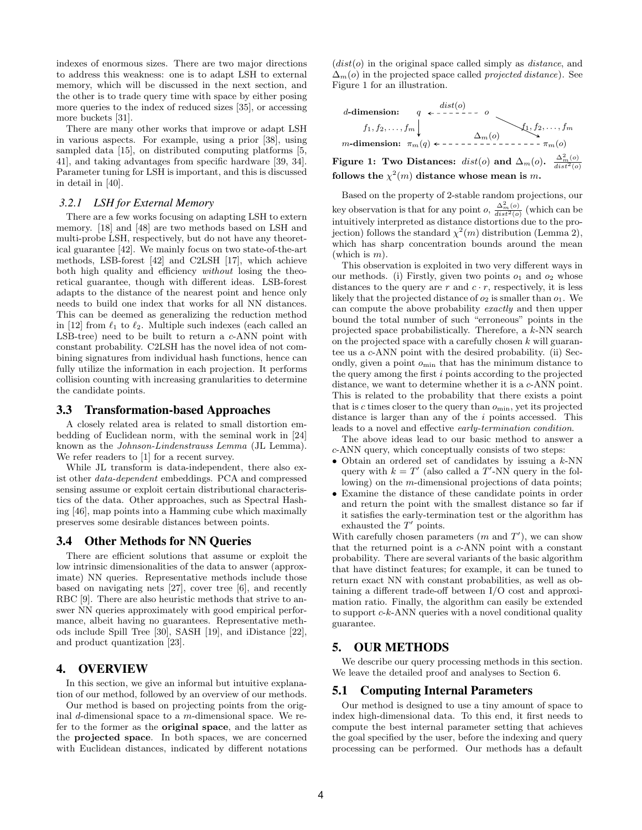indexes of enormous sizes. There are two major directions to address this weakness: one is to adapt LSH to external memory, which will be discussed in the next section, and the other is to trade query time with space by either posing more queries to the index of reduced sizes [35], or accessing more buckets [31].

There are many other works that improve or adapt LSH in various aspects. For example, using a prior [38], using sampled data [15], on distributed computing platforms [5, 41], and taking advantages from specific hardware [39, 34]. Parameter tuning for LSH is important, and this is discussed in detail in [40].

# *3.2.1 LSH for External Memory*

There are a few works focusing on adapting LSH to extern memory. [18] and [48] are two methods based on LSH and multi-probe LSH, respectively, but do not have any theoretical guarantee [42]. We mainly focus on two state-of-the-art methods, LSB-forest [42] and C2LSH [17], which achieve both high quality and efficiency without losing the theoretical guarantee, though with different ideas. LSB-forest adapts to the distance of the nearest point and hence only needs to build one index that works for all NN distances. This can be deemed as generalizing the reduction method in [12] from  $\ell_1$  to  $\ell_2$ . Multiple such indexes (each called an LSB-tree) need to be built to return a c-ANN point with constant probability. C2LSH has the novel idea of not combining signatures from individual hash functions, hence can fully utilize the information in each projection. It performs collision counting with increasing granularities to determine the candidate points.

#### 3.3 Transformation-based Approaches

A closely related area is related to small distortion embedding of Euclidean norm, with the seminal work in [24] known as the Johnson-Lindenstrauss Lemma (JL Lemma). We refer readers to [1] for a recent survey.

While JL transform is data-independent, there also exist other data-dependent embeddings. PCA and compressed sensing assume or exploit certain distributional characteristics of the data. Other approaches, such as Spectral Hashing [46], map points into a Hamming cube which maximally preserves some desirable distances between points.

# 3.4 Other Methods for NN Queries

There are efficient solutions that assume or exploit the low intrinsic dimensionalities of the data to answer (approximate) NN queries. Representative methods include those based on navigating nets [27], cover tree [6], and recently RBC [9]. There are also heuristic methods that strive to answer NN queries approximately with good empirical performance, albeit having no guarantees. Representative methods include Spill Tree [30], SASH [19], and iDistance [22], and product quantization [23].

# 4. OVERVIEW

In this section, we give an informal but intuitive explanation of our method, followed by an overview of our methods.

Our method is based on projecting points from the original  $d$ -dimensional space to a m-dimensional space. We refer to the former as the original space, and the latter as the projected space. In both spaces, we are concerned with Euclidean distances, indicated by different notations  $(dist(o))$  in the original space called simply as *distance*, and  $\Delta_m(o)$  in the projected space called *projected distance*). See Figure 1 for an illustration.



follows the  $\chi^2(m)$  distance whose mean is m. Based on the property of 2-stable random projections, our

key observation is that for any point  $o$ ,  $\frac{\Delta_m^2(o)}{dist^2(o)}$  (which can be intuitively interpreted as distance distortions due to the projection) follows the standard  $\chi^2(m)$  distribution (Lemma 2), which has sharp concentration bounds around the mean (which is  $m$ ).

This observation is exploited in two very different ways in our methods. (i) Firstly, given two points  $o_1$  and  $o_2$  whose distances to the query are r and  $c \cdot r$ , respectively, it is less likely that the projected distance of  $o_2$  is smaller than  $o_1$ . We can compute the above probability exactly and then upper bound the total number of such "erroneous" points in the projected space probabilistically. Therefore, a k-NN search on the projected space with a carefully chosen  $k$  will guarantee us a c-ANN point with the desired probability. (ii) Secondly, given a point  $o_{\min}$  that has the minimum distance to the query among the first i points according to the projected distance, we want to determine whether it is a c-ANN point. This is related to the probability that there exists a point that is c times closer to the query than  $o_{\min}$ , yet its projected distance is larger than any of the i points accessed. This leads to a novel and effective early-termination condition.

The above ideas lead to our basic method to answer a c-ANN query, which conceptually consists of two steps:

- Obtain an ordered set of candidates by issuing a k-NN query with  $k = T'$  (also called a T'-NN query in the following) on the m-dimensional projections of data points;
- Examine the distance of these candidate points in order and return the point with the smallest distance so far if it satisfies the early-termination test or the algorithm has exhausted the  $T'$  points.

With carefully chosen parameters  $(m \text{ and } T')$ , we can show that the returned point is a c-ANN point with a constant probability. There are several variants of the basic algorithm that have distinct features; for example, it can be tuned to return exact NN with constant probabilities, as well as obtaining a different trade-off between I/O cost and approximation ratio. Finally, the algorithm can easily be extended to support  $c-k$ -ANN queries with a novel conditional quality guarantee.

# 5. OUR METHODS

We describe our query processing methods in this section. We leave the detailed proof and analyses to Section 6.

#### 5.1 Computing Internal Parameters

Our method is designed to use a tiny amount of space to index high-dimensional data. To this end, it first needs to compute the best internal parameter setting that achieves the goal specified by the user, before the indexing and query processing can be performed. Our methods has a default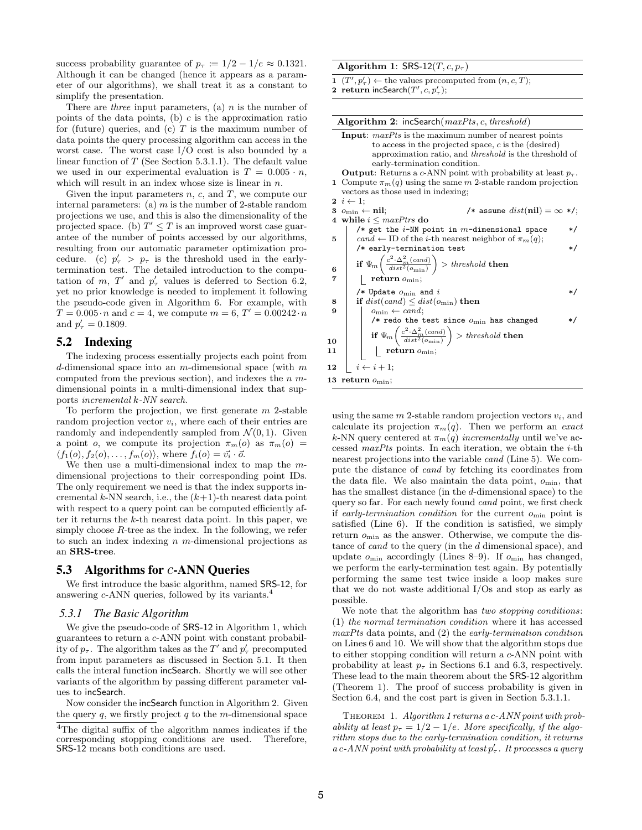success probability guarantee of  $p_\tau := 1/2 - 1/e \approx 0.1321$ . Although it can be changed (hence it appears as a parameter of our algorithms), we shall treat it as a constant to simplify the presentation.

There are *three* input parameters, (a)  $n$  is the number of points of the data points, (b)  $c$  is the approximation ratio for (future) queries, and (c)  $T$  is the maximum number of data points the query processing algorithm can access in the worst case. The worst case I/O cost is also bounded by a linear function of  $T$  (See Section 5.3.1.1). The default value we used in our experimental evaluation is  $T = 0.005 \cdot n$ , which will result in an index whose size is linear in  $n$ .

Given the input parameters  $n, c$ , and  $T$ , we compute our internal parameters: (a)  $m$  is the number of 2-stable random projections we use, and this is also the dimensionality of the projected space. (b)  $T' \leq T$  is an improved worst case guarantee of the number of points accessed by our algorithms, resulting from our automatic parameter optimization procedure. (c)  $p'_\tau > p_\tau$  is the threshold used in the earlytermination test. The detailed introduction to the computation of m, T' and  $p'_\tau$  values is deferred to Section 6.2, yet no prior knowledge is needed to implement it following the pseudo-code given in Algorithm 6. For example, with  $T = 0.005 \cdot n$  and  $c = 4$ , we compute  $m = 6, T' = 0.00242 \cdot n$ and  $p'_{\tau} = 0.1809$ .

# 5.2 Indexing

The indexing process essentially projects each point from d-dimensional space into an  $m$ -dimensional space (with  $m$ computed from the previous section), and indexes the  $n$  mdimensional points in a multi-dimensional index that supports incremental k-NN search.

To perform the projection, we first generate  $m$  2-stable random projection vector  $v_i$ , where each of their entries are randomly and independently sampled from  $\mathcal{N}(0, 1)$ . Given a point o, we compute its projection  $\pi_m(o)$  as  $\pi_m(o)$  =  $\langle f_1(o), f_2(o), \ldots, f_m(o) \rangle$ , where  $f_i(o) = \vec{v_i} \cdot \vec{o}$ .

We then use a multi-dimensional index to map the  $m$ dimensional projections to their corresponding point IDs. The only requirement we need is that the index supports incremental k-NN search, i.e., the  $(k+1)$ -th nearest data point with respect to a query point can be computed efficiently after it returns the k-th nearest data point. In this paper, we simply choose  $R$ -tree as the index. In the following, we refer to such an index indexing  $n$  m-dimensional projections as an SRS-tree.

### 5.3 Algorithms for c-ANN Queries

We first introduce the basic algorithm, named SRS-12, for answering c-ANN queries, followed by its variants.<sup>4</sup>

#### *5.3.1 The Basic Algorithm*

We give the pseudo-code of SRS-12 in Algorithm 1, which guarantees to return a c-ANN point with constant probability of  $p_{\tau}$ . The algorithm takes as the T' and  $p'_{\tau}$  precomputed from input parameters as discussed in Section 5.1. It then calls the interal function incSearch. Shortly we will see other variants of the algorithm by passing different parameter values to incSearch.

Now consider the incSearch function in Algorithm 2. Given the query  $q$ , we firstly project  $q$  to the m-dimensional space

#### Algorithm 1: SRS-12 $(T, c, p_{\tau})$

1  $(T', p'_\tau) \leftarrow$  the values precomputed from  $(n, c, T)$ ;

2 return incSearch $(T', c, p'_\tau);$ 

| Algorithm 2: $incSearch(maxPts, c, threshold)$                                                    |  |
|---------------------------------------------------------------------------------------------------|--|
| <b>Input</b> : $maxPts$ is the maximum number of nearest points                                   |  |
| to access in the projected space, $c$ is the (desired)                                            |  |
| approximation ratio, and <i>threshold</i> is the threshold of                                     |  |
| early-termination condition.                                                                      |  |
| <b>Output</b> : Returns a c-ANN point with probability at least $p_{\tau}$ .                      |  |
| 1 Compute $\pi_m(q)$ using the same m 2-stable random projection                                  |  |
| vectors as those used in indexing;                                                                |  |
| $2 \, i \leftarrow 1$ ;                                                                           |  |
| /* assume $dist(nil) = \infty$ */;<br>3 $o_{\min} \leftarrow \textbf{nil};$                       |  |
| 4 while $i \leq maxPtrs$ do                                                                       |  |
| /* get the $i$ -NN point in $m$ -dimensional space                                                |  |
| cand $\leftarrow$ ID of the <i>i</i> -th nearest neighbor of $\pi_m(q)$ ;<br>5                    |  |
| $/*$ early-termination test<br>$\ast/$                                                            |  |
|                                                                                                   |  |
| if $\Psi_m\left(\frac{c^2 \cdot \Delta_m^2(cand)}{dist^2(c_{\min})}\right) > threshold$ then<br>6 |  |
| 7<br>return $o_{\min}$ ;                                                                          |  |
|                                                                                                   |  |
| /* Update $o_{\min}$ and i<br>$\ast/$                                                             |  |
| if $dist(cand) \leq dist(o_{\min})$ then<br>8                                                     |  |
| $o_{\min} \leftarrow cand;$<br>9                                                                  |  |
| /* redo the test since $o_{\min}$ has changed<br>*/                                               |  |
| if $\Psi_m\left(\frac{c^2\cdot\Delta_m^2(cand)}{dist^2(o_{\min})}\right) > threshold$ then        |  |
| 10                                                                                                |  |
| return $o_{\min}$ ;<br>11                                                                         |  |
| $i \leftarrow i + 1;$<br>12                                                                       |  |
|                                                                                                   |  |
| 13 return $o_{\min}$ ;                                                                            |  |
|                                                                                                   |  |

using the same  $m$  2-stable random projection vectors  $v_i$ , and calculate its projection  $\pi_m(q)$ . Then we perform an exact k-NN query centered at  $\pi_m(q)$  incrementally until we've accessed maxPts points. In each iteration, we obtain the  $i$ -th nearest projections into the variable cand (Line 5). We compute the distance of cand by fetching its coordinates from the data file. We also maintain the data point,  $o_{\min}$ , that has the smallest distance (in the d-dimensional space) to the query so far. For each newly found cand point, we first check if early-termination condition for the current  $o_{\min}$  point is satisfied (Line 6). If the condition is satisfied, we simply return  $o_{\min}$  as the answer. Otherwise, we compute the distance of *cand* to the query (in the d dimensional space), and update  $o_{\min}$  accordingly (Lines 8–9). If  $o_{\min}$  has changed, we perform the early-termination test again. By potentially performing the same test twice inside a loop makes sure that we do not waste additional I/Os and stop as early as possible.

We note that the algorithm has two stopping conditions: (1) the normal termination condition where it has accessed maxPts data points, and (2) the early-termination condition on Lines 6 and 10. We will show that the algorithm stops due to either stopping condition will return a c-ANN point with probability at least  $p_{\tau}$  in Sections 6.1 and 6.3, respectively. These lead to the main theorem about the SRS-12 algorithm (Theorem 1). The proof of success probability is given in Section 6.4, and the cost part is given in Section 5.3.1.1.

THEOREM 1. Algorithm 1 returns a c-ANN point with probability at least  $p_{\tau} = 1/2 - 1/e$ . More specifically, if the algorithm stops due to the early-termination condition, it returns  $a c-ANN$  point with probability at least  $p'_\tau$ . It processes a query

<sup>4</sup>The digital suffix of the algorithm names indicates if the corresponding stopping conditions are used. Therefore, SRS-12 means both conditions are used.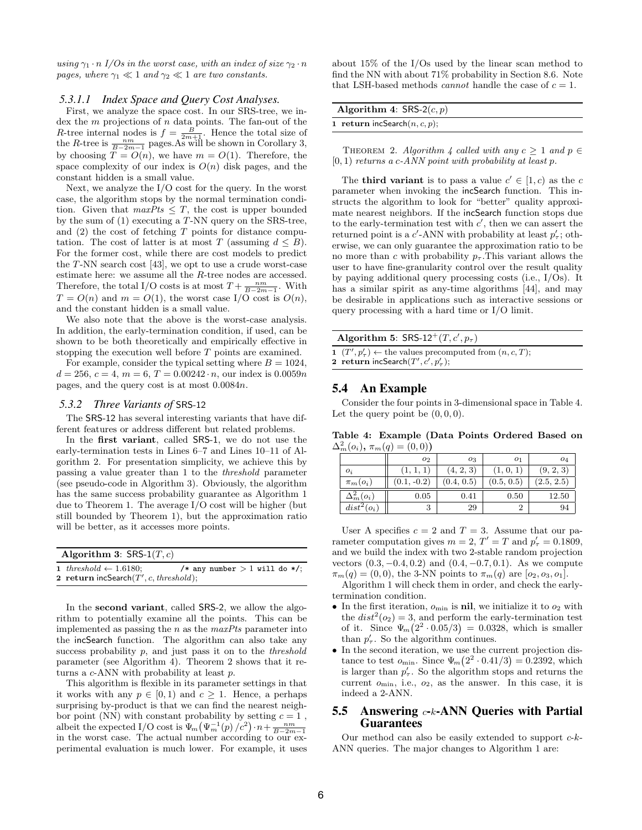using  $\gamma_1 \cdot n$  I/Os in the worst case, with an index of size  $\gamma_2 \cdot n$ pages, where  $\gamma_1 \ll 1$  and  $\gamma_2 \ll 1$  are two constants.

#### *5.3.1.1 Index Space and Query Cost Analyses.*

First, we analyze the space cost. In our SRS-tree, we index the  $m$  projections of  $n$  data points. The fan-out of the *R*-tree internal nodes is  $f = \frac{B}{2m+1}$ . Hence the total size of the *R*-tree is  $\frac{nm}{B-2m-1}$  pages. As will be shown in Corollary 3, by choosing  $T = O(n)$ , we have  $m = O(1)$ . Therefore, the space complexity of our index is  $O(n)$  disk pages, and the constant hidden is a small value.

Next, we analyze the I/O cost for the query. In the worst case, the algorithm stops by the normal termination condition. Given that  $maxPts \leq T$ , the cost is upper bounded by the sum of (1) executing a T-NN query on the SRS-tree, and  $(2)$  the cost of fetching T points for distance computation. The cost of latter is at most T (assuming  $d \leq B$ ). For the former cost, while there are cost models to predict the T-NN search cost [43], we opt to use a crude worst-case estimate here: we assume all the R-tree nodes are accessed. Therefore, the total I/O costs is at most  $T + \frac{nm}{B-2m-1}$ . With  $T = O(n)$  and  $m = O(1)$ , the worst case I/O cost is  $O(n)$ , and the constant hidden is a small value.

We also note that the above is the worst-case analysis. In addition, the early-termination condition, if used, can be shown to be both theoretically and empirically effective in stopping the execution well before T points are examined.

For example, consider the typical setting where  $B = 1024$ ,  $d = 256, c = 4, m = 6, T = 0.00242 \cdot n$ , our index is  $0.0059n$ pages, and the query cost is at most 0.0084n.

### *5.3.2 Three Variants of* SRS-12

The SRS-12 has several interesting variants that have different features or address different but related problems.

In the **first variant**, called **SRS-1**, we do not use the early-termination tests in Lines 6–7 and Lines 10–11 of Algorithm 2. For presentation simplicity, we achieve this by passing a value greater than 1 to the threshold parameter (see pseudo-code in Algorithm 3). Obviously, the algorithm has the same success probability guarantee as Algorithm 1 due to Theorem 1. The average I/O cost will be higher (but still bounded by Theorem 1), but the approximation ratio will be better, as it accesses more points.

| Algorithm 3: $SRS-1(T, c)$                                                          |                                 |  |  |
|-------------------------------------------------------------------------------------|---------------------------------|--|--|
| 1 threshold $\leftarrow$ 1.6180;<br><b>2</b> return incSearch $(T', c, threshold);$ | /* any number $> 1$ will do */: |  |  |

In the **second variant**, called **SRS-2**, we allow the algorithm to potentially examine all the points. This can be implemented as passing the  $n$  as the maxPts parameter into the incSearch function. The algorithm can also take any success probability  $p$ , and just pass it on to the *threshold* parameter (see Algorithm 4). Theorem 2 shows that it returns a c-ANN with probability at least p.

This algorithm is flexible in its parameter settings in that it works with any  $p \in [0, 1)$  and  $c > 1$ . Hence, a perhaps surprising by-product is that we can find the nearest neighbor point (NN) with constant probability by setting  $c = 1$ , albeit the expected I/O cost is  $\Psi_m(\Psi_m^{-1}(p)/c^2) \cdot n + \frac{nm}{B-2m-1}$ in the worst case. The actual number according to our experimental evaluation is much lower. For example, it uses

about 15% of the I/Os used by the linear scan method to find the NN with about 71% probability in Section 8.6. Note that LSH-based methods *cannot* handle the case of  $c = 1$ .

| Algorithm 4: $SRS-2(c, p)$              |  |
|-----------------------------------------|--|
| <b>1</b> return incSearch $(n, c, p)$ ; |  |
|                                         |  |

THEOREM 2. Algorithm 4 called with any  $c \geq 1$  and  $p \in$  $[0, 1)$  returns a c-ANN point with probability at least p.

The **third variant** is to pass a value  $c' \in [1, c)$  as the c parameter when invoking the incSearch function. This instructs the algorithm to look for "better" quality approximate nearest neighbors. If the incSearch function stops due to the early-termination test with  $c'$ , then we can assert the returned point is a  $c'$ -ANN with probability at least  $p'_\tau$ ; otherwise, we can only guarantee the approximation ratio to be no more than c with probability  $p_{\tau}$ . This variant allows the user to have fine-granularity control over the result quality by paying additional query processing costs (i.e., I/Os). It has a similar spirit as any-time algorithms [44], and may be desirable in applications such as interactive sessions or query processing with a hard time or I/O limit.

| Algorithm 5: $SRS-12^+(T, c', p_{\tau})$                                                                            |  |  |  |
|---------------------------------------------------------------------------------------------------------------------|--|--|--|
| 1 $(T', p'_\tau) \leftarrow$ the values precomputed from $(n, c, T)$ ;<br>2 return incSearch $(T', c', p'_{\tau});$ |  |  |  |

# 5.4 An Example

Consider the four points in 3-dimensional space in Table 4. Let the query point be  $(0, 0, 0)$ .

Table 4: Example (Data Points Ordered Based on  $\Delta_m^2(o_i), \pi_m(q) = (0,0)$ 

|                   | 02            | 03         | 01         | 04         |
|-------------------|---------------|------------|------------|------------|
| $O_i$             |               | (4, 2, 3)  | 1, 0, 1    | (9, 2, 3)  |
| $\pi_m(o_i)$      | $(0.1, -0.2)$ | (0.4, 0.5) | (0.5, 0.5) | (2.5, 2.5) |
| $\Delta_m^2(o_i)$ | 0.05          | 0.41       | 0.50       | 12.50      |
| $dist^2(o_i)$     | 3             | 29         |            | 94         |

User A specifies  $c = 2$  and  $T = 3$ . Assume that our parameter computation gives  $m = 2$ ,  $T' = T$  and  $p'_\tau = 0.1809$ , and we build the index with two 2-stable random projection vectors  $(0.3, -0.4, 0.2)$  and  $(0.4, -0.7, 0.1)$ . As we compute  $\pi_m(q) = (0, 0)$ , the 3-NN points to  $\pi_m(q)$  are  $[o_2, o_3, o_1]$ .

Algorithm 1 will check them in order, and check the earlytermination condition.

- In the first iteration,  $o_{\min}$  is **nil**, we initialize it to  $o_2$  with the  $dist^2(o_2) = 3$ , and perform the early-termination test of it. Since  $\Psi_m(2^2 \cdot 0.05/3) = 0.0328$ , which is smaller than  $p'_\tau$ . So the algorithm continues.
- In the second iteration, we use the current projection distance to test  $o_{\text{min}}$ . Since  $\Psi_m(2^2 \cdot 0.41/3) = 0.2392$ , which is larger than  $p'_\tau$ . So the algorithm stops and returns the current  $o_{\min}$ , i.e.,  $o_2$ , as the answer. In this case, it is indeed a 2-ANN.

# 5.5 Answering  $c$ -k-ANN Queries with Partial Guarantees

Our method can also be easily extended to support  $c$ -k-ANN queries. The major changes to Algorithm 1 are: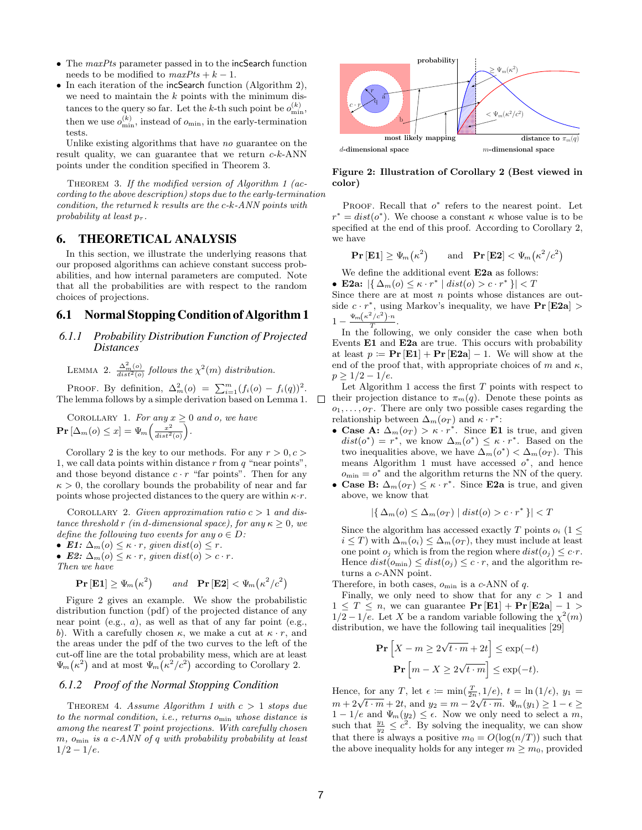- The maxPts parameter passed in to the incSearch function needs to be modified to  $maxPts + k - 1$ .
- In each iteration of the incSearch function (Algorithm 2), we need to maintain the  $k$  points with the minimum distances to the query so far. Let the k-th such point be  $o_{\min}^{(k)}$ , then we use  $o_{\min}^{(k)}$ , instead of  $o_{\min}$ , in the early-termination tests.

Unlike existing algorithms that have no guarantee on the result quality, we can guarantee that we return  $c-k-ANN$ points under the condition specified in Theorem 3.

THEOREM 3. If the modified version of Algorithm 1 ( $ac$ cording to the above description) stops due to the early-termination condition, the returned k results are the c-k-ANN points with probability at least  $p_{\tau}$ .

# 6. THEORETICAL ANALYSIS

In this section, we illustrate the underlying reasons that our proposed algorithms can achieve constant success probabilities, and how internal parameters are computed. Note that all the probabilities are with respect to the random choices of projections.

### 6.1 Normal Stopping Condition of Algorithm 1

### *6.1.1 Probability Distribution Function of Projected Distances*

LEMMA 2.  $\frac{\Delta_m^2(o)}{dist^2(o)}$  follows the  $\chi^2(m)$  distribution.

PROOF. By definition,  $\Delta_m^2(o) = \sum_{i=1}^m (f_i(o) - f_i(q))^2$ . The lemma follows by a simple derivation based on Lemma 1.

COROLLARY 1. For any  $x \geq 0$  and o, we have  $\mathbf{Pr}\left[\Delta_m(o) \leq x\right] = \Psi_m\left(\frac{x^2}{dist^2(o)}\right).$ 

Corollary 2 is the key to our methods. For any  $r > 0, c > 0$ 1, we call data points within distance  $r$  from  $q$  "near points", and those beyond distance  $c \cdot r$  "far points". Then for any  $\kappa > 0$ , the corollary bounds the probability of near and far points whose projected distances to the query are within  $\kappa \cdot r$ .

COROLLARY 2. Given approximation ratio  $c > 1$  and distance threshold r (in d-dimensional space), for any  $\kappa > 0$ , we define the following two events for any  $o \in D$ :

• E1:  $\Delta_m(o) \leq \kappa \cdot r$ , given dist $(o) \leq r$ . • E2:  $\Delta_m(o) \leq \kappa \cdot r$ , given  $dist(o) > c \cdot r$ . Then we have

$$
\mathbf{Pr}\left[\mathbf{E1}\right] \geq \Psi_m(\kappa^2) \qquad and \quad \mathbf{Pr}\left[\mathbf{E2}\right] < \Psi_m(\kappa^2/c^2)
$$

Figure 2 gives an example. We show the probabilistic distribution function (pdf) of the projected distance of any near point (e.g.,  $a$ ), as well as that of any far point (e.g., b). With a carefully chosen  $\kappa$ , we make a cut at  $\kappa \cdot r$ , and the areas under the pdf of the two curves to the left of the cut-off line are the total probability mess, which are at least  $\Psi_m(\kappa^2)$  and at most  $\Psi_m(\kappa^2/c^2)$  according to Corollary 2.

#### *6.1.2 Proof of the Normal Stopping Condition*

THEOREM 4. Assume Algorithm 1 with  $c > 1$  stops due to the normal condition, i.e., returns omin whose distance is among the nearest  $T$  point projections. With carefully chosen  $m$ ,  $o_{\min}$  is a c-ANN of q with probability probability at least  $1/2 - 1/e$ .



Figure 2: Illustration of Corollary 2 (Best viewed in color)

PROOF. Recall that  $o^*$  refers to the nearest point. Let  $r^* = dist(o^*)$ . We choose a constant  $\kappa$  whose value is to be specified at the end of this proof. According to Corollary 2, we have

$$
\mathbf{Pr}\left[\mathbf{E1}\right] \geq \Psi_m(\kappa^2) \qquad \text{and} \quad \mathbf{Pr}\left[\mathbf{E2}\right] < \Psi_m(\kappa^2/c^2)
$$

We define the additional event E2a as follows: • E2a:  $|\{\Delta_m(o) \le \kappa \cdot r^* \mid dist(o) > c \cdot r^* \}| < T$ Since there are at most  $n$  points whose distances are outside  $c \cdot r^*$ , using Markov's inequality, we have  $Pr [E2a] >$ 

$$
1-\frac{\Psi_m(\kappa^2/c^2)\cdot n}{T}.
$$

 $\Box$ 

In the following, we only consider the case when both Events E1 and E2a are true. This occurs with probability at least  $p := \Pr [E1] + \Pr [E2a] - 1$ . We will show at the end of the proof that, with appropriate choices of m and  $\kappa$ ,  $p > 1/2 - 1/e$ .

Let Algorithm 1 access the first  $T$  points with respect to their projection distance to  $\pi_m(q)$ . Denote these points as  $o_1, \ldots, o_T$ . There are only two possible cases regarding the relationship between  $\Delta_m(\sigma_T)$  and  $\kappa \cdot r^*$ :

- Case A:  $\Delta_m(\mathfrak{o}_T) > \kappa \cdot r^*$ . Since E1 is true, and given  $dist(o^*) = r^*$ , we know  $\Delta_m(o^*) \leq \kappa \cdot r^*$ . Based on the two inequalities above, we have  $\Delta_m(o^*) < \Delta_m(o_T)$ . This means Algorithm 1 must have accessed  $o^*$ , and hence  $o_{\min} = o^*$  and the algorithm returns the NN of the query.
- Case B:  $\Delta_m(\sigma) \leq \kappa \cdot r^*$ . Since E2a is true, and given above, we know that

$$
|\{\Delta_m(o) \le \Delta_m(o_T) \mid dist(o) > c \cdot r^* \}| < T
$$

Since the algorithm has accessed exactly T points  $o_i$  (1  $\leq$  $i \leq T$ ) with  $\Delta_m(o_i) \leq \Delta_m(o_T)$ , they must include at least one point  $o_j$  which is from the region where  $dist(o_j) \leq c \cdot r$ . Hence  $dist(o_{\min}) \leq dist(o_j) \leq c \cdot r$ , and the algorithm returns a c-ANN point.

Therefore, in both cases,  $o_{\min}$  is a  $c\text{-ANN}$  of  $q.$ 

Finally, we only need to show that for any  $c > 1$  and  $1 \leq T \leq n$ , we can guarantee  $\Pr[\text{E1}] + \Pr[\text{E2a}] - 1 >$  $1/2 - 1/e$ . Let X be a random variable following the  $\chi^2(m)$ distribution, we have the following tail inequalities [29]

$$
\mathbf{Pr}\left[X - m \ge 2\sqrt{t \cdot m} + 2t\right] \le \exp(-t)
$$

$$
\mathbf{Pr}\left[m - X \ge 2\sqrt{t \cdot m}\right] \le \exp(-t).
$$

Hence, for any T, let  $\epsilon := \min(\frac{T}{2n}, 1/e)$ ,  $t = \ln(1/e)$ ,  $y_1 =$ mence, for any 1, let  $\epsilon$  :—  $\min(\frac{1}{2n}, 1/\epsilon)$ ,  $\epsilon$  —  $\ln(1/\epsilon)$ ,  $y_1$  —<br>  $m + 2\sqrt{t \cdot m} + 2t$ , and  $y_2 = m - 2\sqrt{t \cdot m}$ .  $\Psi_m(y_1) \ge 1 - \epsilon$  $1 - 1/e$  and  $\Psi_m(y_2) \leq \epsilon$ . Now we only need to select a m, such that  $\frac{y_1}{y_2} \leq c^2$ . By solving the inequality, we can show that there is always a positive  $m_0 = O(\log(n/T))$  such that the above inequality holds for any integer  $m \geq m_0$ , provided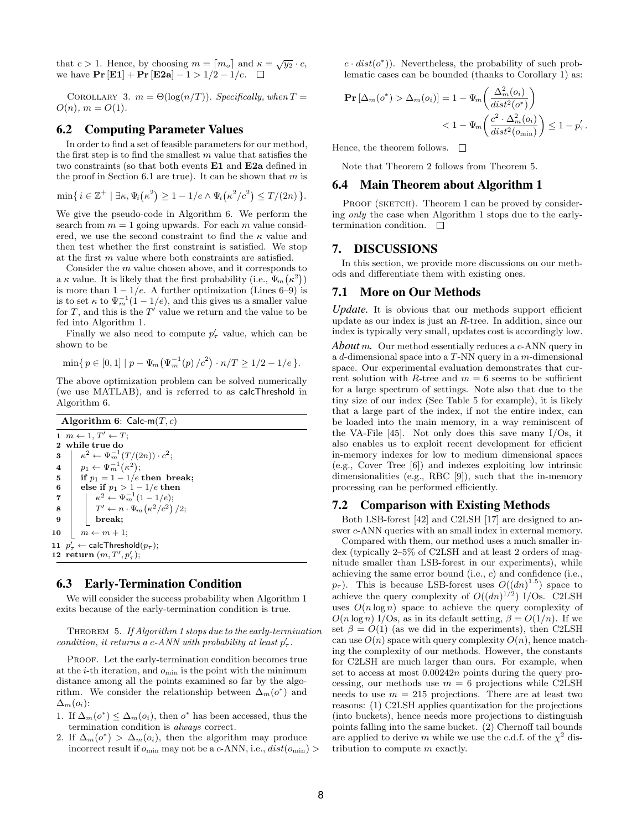that  $c > 1$ . Hence, by choosing  $m = \lceil m_o \rceil$  and  $\kappa = \sqrt{y_2} \cdot c$ , we have  $\Pr [\mathbf{E1}] + \Pr [\mathbf{E2a}] - 1 > 1/2 - 1/e. \quad \Box$ 

COROLLARY 3.  $m = \Theta(\log(n/T))$ . Specifically, when  $T =$  $O(n), m = O(1).$ 

### 6.2 Computing Parameter Values

In order to find a set of feasible parameters for our method, the first step is to find the smallest  $m$  value that satisfies the two constraints (so that both events E1 and E2a defined in the proof in Section 6.1 are true). It can be shown that  $m$  is

$$
\min\{i\in\mathbb{Z}^+\mid \exists\kappa,\Psi_i(\kappa^2)\geq 1-1/e\wedge \Psi_i(\kappa^2/c^2)\leq T/(2n)\}.
$$

We give the pseudo-code in Algorithm 6. We perform the search from  $m = 1$  going upwards. For each m value considered, we use the second constraint to find the  $\kappa$  value and then test whether the first constraint is satisfied. We stop at the first m value where both constraints are satisfied.

Consider the m value chosen above, and it corresponds to a  $\kappa$  value. It is likely that the first probability (i.e.,  $\Psi_m(\kappa^2)$ ) is more than  $1 - 1/e$ . A further optimization (Lines 6–9) is is to set  $\kappa$  to  $\Psi_m^{-1}(1-1/e)$ , and this gives us a smaller value for T, and this is the  $T'$  value we return and the value to be fed into Algorithm 1.

Finally we also need to compute  $p'_\tau$  value, which can be shown to be

$$
\min\{p \in [0,1] \mid p - \Psi_m(\Psi_m^{-1}(p)/c^2) \cdot n/T \ge 1/2 - 1/e\}.
$$

The above optimization problem can be solved numerically (we use MATLAB), and is referred to as calcThreshold in Algorithm 6.

|                         | <b>Algorithm 6:</b> Calc-m $(T, c)$                  |
|-------------------------|------------------------------------------------------|
|                         | $1 \, m \leftarrow 1, T' \leftarrow T;$              |
| $\mathbf{2}$            | while true do                                        |
| 3                       | $\kappa^2 \leftarrow \Psi_m^{-1}(T/(2n)) \cdot c^2;$ |
| $\overline{\mathbf{4}}$ | $p_1 \leftarrow \Psi_m^{-1}(\kappa^2);$              |
| 5                       | if $p_1 = 1 - 1/e$ then break;                       |
| 6                       | else if $p_1 > 1 - 1/e$ then                         |
| 7                       | $\kappa^2 \leftarrow \Psi_m^{-1}(1-1/e);$            |
| 8                       | $T' \leftarrow n \cdot \Psi_m(\kappa^2/c^2)/2;$      |
| 9                       | break;                                               |
| 10                      | $m \leftarrow m + 1;$                                |
|                         | 11 $p'_\tau \leftarrow$ calc Threshold $(p_\tau);$   |
|                         | 12 return $(m, T', p'_{\tau});$                      |

# 6.3 Early-Termination Condition

We will consider the success probability when Algorithm 1 exits because of the early-termination condition is true.

THEOREM 5. If Algorithm 1 stops due to the early-termination condition, it returns a c-ANN with probability at least  $p'_\tau$ .

PROOF. Let the early-termination condition becomes true at the  $i$ -th iteration, and  $o_{\min}$  is the point with the minimum distance among all the points examined so far by the algorithm. We consider the relationship between  $\Delta_m(o^*)$  and  $\Delta_m(o_i)$ :

- 1. If  $\Delta_m(o^*) \leq \Delta_m(o_i)$ , then  $o^*$  has been accessed, thus the termination condition is always correct.
- 2. If  $\Delta_m(o^*) > \Delta_m(o_i)$ , then the algorithm may produce incorrect result if  $o_{\min}$  may not be a c-ANN, i.e.,  $dist(o_{\min})$

 $c \cdot dist(o^*)$ ). Nevertheless, the probability of such problematic cases can be bounded (thanks to Corollary 1) as:

$$
\mathbf{Pr}\left[\Delta_m(o^*) > \Delta_m(o_i)\right] = 1 - \Psi_m\left(\frac{\Delta_m^2(o_i)}{dist^2(o^*)}\right)
$$
  
< 
$$
< 1 - \Psi_m\left(\frac{c^2 \cdot \Delta_m^2(o_i)}{dist^2(o_{\min})}\right) \le 1 - p'_\tau.
$$

Hence, the theorem follows.  $\square$ 

Note that Theorem 2 follows from Theorem 5.

### 6.4 Main Theorem about Algorithm 1

PROOF (SKETCH). Theorem 1 can be proved by considering only the case when Algorithm 1 stops due to the earlytermination condition.  $\square$ 

# 7. DISCUSSIONS

In this section, we provide more discussions on our methods and differentiate them with existing ones.

# 7.1 More on Our Methods

*Update.* It is obvious that our methods support efficient update as our index is just an R-tree. In addition, since our index is typically very small, updates cost is accordingly low.

*About* m*.* Our method essentially reduces a c-ANN query in a d-dimensional space into a T-NN query in a m-dimensional space. Our experimental evaluation demonstrates that current solution with R-tree and  $m = 6$  seems to be sufficient for a large spectrum of settings. Note also that due to the tiny size of our index (See Table 5 for example), it is likely that a large part of the index, if not the entire index, can be loaded into the main memory, in a way reminiscent of the VA-File [45]. Not only does this save many I/Os, it also enables us to exploit recent development for efficient in-memory indexes for low to medium dimensional spaces (e.g., Cover Tree [6]) and indexes exploiting low intrinsic dimensionalities (e.g., RBC [9]), such that the in-memory processing can be performed efficiently.

#### 7.2 Comparison with Existing Methods

Both LSB-forest [42] and C2LSH [17] are designed to answer c-ANN queries with an small index in external memory.

Compared with them, our method uses a much smaller index (typically 2–5% of C2LSH and at least 2 orders of magnitude smaller than LSB-forest in our experiments), while achieving the same error bound (i.e., c) and confidence (i.e.,  $p_{\tau}$ ). This is because LSB-forest uses  $O((dn)^{1.5})$  space to achieve the query complexity of  $O((dn)^{1/2})$  I/Os. C2LSH uses  $O(n \log n)$  space to achieve the query complexity of  $O(n \log n)$  I/Os, as in its default setting,  $\beta = O(1/n)$ . If we set  $\beta = O(1)$  (as we did in the experiments), then C2LSH can use  $O(n)$  space with query complexity  $O(n)$ , hence matching the complexity of our methods. However, the constants for C2LSH are much larger than ours. For example, when set to access at most 0.00242n points during the query processing, our methods use  $m = 6$  projections while C2LSH needs to use  $m = 215$  projections. There are at least two reasons: (1) C2LSH applies quantization for the projections (into buckets), hence needs more projections to distinguish points falling into the same bucket. (2) Chernoff tail bounds are applied to derive m while we use the c.d.f. of the  $\chi^2$  distribution to compute m exactly.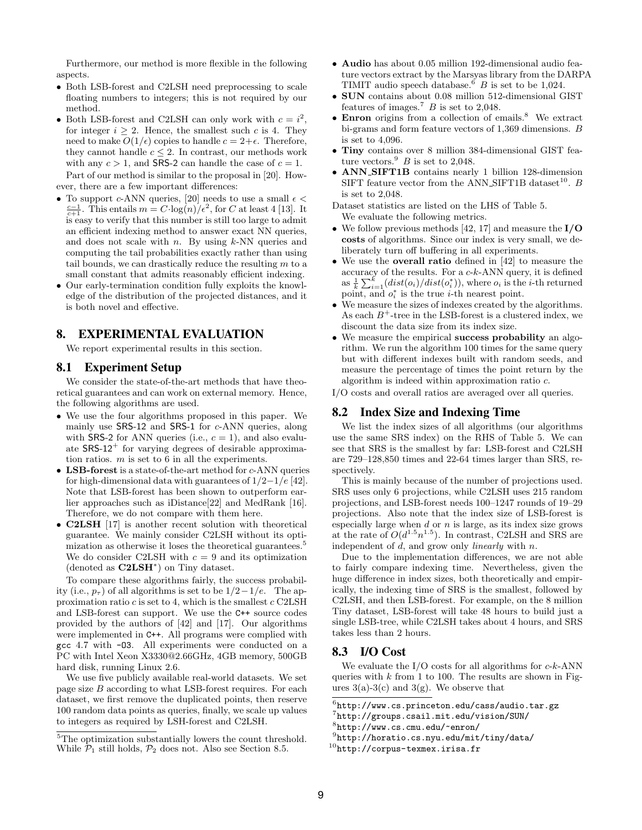Furthermore, our method is more flexible in the following aspects.

- Both LSB-forest and C2LSH need preprocessing to scale floating numbers to integers; this is not required by our method.
- Both LSB-forest and C2LSH can only work with  $c = i^2$ , for integer  $i > 2$ . Hence, the smallest such c is 4. They need to make  $O(1/\epsilon)$  copies to handle  $c = 2+\epsilon$ . Therefore, they cannot handle  $c \leq 2$ . In contrast, our methods work with any  $c > 1$ , and SRS-2 can handle the case of  $c = 1$ . Part of our method is similar to the proposal in [20]. How-

ever, there are a few important differences:

- To support c-ANN queries, [20] needs to use a small  $\epsilon$  <  $\frac{c-1}{c+1}$ . This entails  $m = C \cdot \log(n)/\epsilon^2$ , for C at least 4 [13]. It is easy to verify that this number is still too large to admit an efficient indexing method to answer exact NN queries, and does not scale with  $n$ . By using  $k$ -NN queries and computing the tail probabilities exactly rather than using tail bounds, we can drastically reduce the resulting  $m$  to a small constant that admits reasonably efficient indexing.
- Our early-termination condition fully exploits the knowledge of the distribution of the projected distances, and it is both novel and effective.

# 8. EXPERIMENTAL EVALUATION

We report experimental results in this section.

# 8.1 Experiment Setup

We consider the state-of-the-art methods that have theoretical guarantees and can work on external memory. Hence, the following algorithms are used.

- We use the four algorithms proposed in this paper. We mainly use SRS-12 and SRS-1 for c-ANN queries, along with SRS-2 for ANN queries (i.e.,  $c = 1$ ), and also evaluate  $SRS-12^+$  for varying degrees of desirable approximation ratios.  $m$  is set to 6 in all the experiments.
- LSB-forest is a state-of-the-art method for c-ANN queries for high-dimensional data with guarantees of  $1/2-1/e$  [42]. Note that LSB-forest has been shown to outperform earlier approaches such as iDistance[22] and MedRank [16]. Therefore, we do not compare with them here.
- C2LSH [17] is another recent solution with theoretical guarantee. We mainly consider C2LSH without its optimization as otherwise it loses the theoretical guarantees.<sup>5</sup> We do consider C2LSH with  $c = 9$  and its optimization (denoted as C2LSH<sup>∗</sup> ) on Tiny dataset.

To compare these algorithms fairly, the success probability (i.e.,  $p_{\tau}$ ) of all algorithms is set to be  $1/2-1/e$ . The approximation ratio  $c$  is set to 4, which is the smallest  $c$  C2LSH and LSB-forest can support. We use the C++ source codes provided by the authors of [42] and [17]. Our algorithms were implemented in C++. All programs were complied with gcc 4.7 with -O3. All experiments were conducted on a PC with Intel Xeon X3330@2.66GHz, 4GB memory, 500GB hard disk, running Linux 2.6.

We use five publicly available real-world datasets. We set page size  $B$  according to what LSB-forest requires. For each dataset, we first remove the duplicated points, then reserve 100 random data points as queries, finally, we scale up values to integers as required by LSH-forest and C2LSH.

- Audio has about 0.05 million 192-dimensional audio feature vectors extract by the Marsyas library from the DARPA TIMIT audio speech database.<sup>6</sup> B is set to be 1,024.
- SUN contains about 0.08 million 512-dimensional GIST features of images.<sup>7</sup> B is set to 2,048.
- $\bullet$  Enron origins from a collection of emails.<sup>8</sup> We extract bi-grams and form feature vectors of 1,369 dimensions. B is set to 4,096.
- Tiny contains over 8 million 384-dimensional GIST feature vectors. $^{9}$  B is set to 2,048.
- ANN SIFT1B contains nearly 1 billion 128-dimension SIFT feature vector from the ANN\_SIFT1B dataset<sup>10</sup>. B is set to 2,048.
- Dataset statistics are listed on the LHS of Table 5. We evaluate the following metrics.
- We follow previous methods [42, 17] and measure the  $I/O$ costs of algorithms. Since our index is very small, we deliberately turn off buffering in all experiments.
- We use the overall ratio defined in [42] to measure the accuracy of the results. For a  $c-k$ -ANN query, it is defined as  $\frac{1}{k} \sum_{i=1}^{k} (dist(o_i)/dist(o_i^*)),$  where  $o_i$  is the *i*-th returned point, and  $o_i^*$  is the true *i*-th nearest point.
- We measure the sizes of indexes created by the algorithms. As each  $B^+$ -tree in the LSB-forest is a clustered index, we discount the data size from its index size.
- We measure the empirical **success probability** an algorithm. We run the algorithm 100 times for the same query but with different indexes built with random seeds, and measure the percentage of times the point return by the algorithm is indeed within approximation ratio c.

I/O costs and overall ratios are averaged over all queries.

# 8.2 Index Size and Indexing Time

We list the index sizes of all algorithms (our algorithms use the same SRS index) on the RHS of Table 5. We can see that SRS is the smallest by far: LSB-forest and C2LSH are 729–128,850 times and 22-64 times larger than SRS, respectively.

This is mainly because of the number of projections used. SRS uses only 6 projections, while C2LSH uses 215 random projections, and LSB-forest needs 100–1247 rounds of 19–29 projections. Also note that the index size of LSB-forest is especially large when  $d$  or  $n$  is large, as its index size grows at the rate of  $O(d^{1.5}n^{1.5})$ . In contrast, C2LSH and SRS are independent of d, and grow only *linearly* with n.

Due to the implementation differences, we are not able to fairly compare indexing time. Nevertheless, given the huge difference in index sizes, both theoretically and empirically, the indexing time of SRS is the smallest, followed by C2LSH, and then LSB-forest. For example, on the 8 million Tiny dataset, LSB-forest will take 48 hours to build just a single LSB-tree, while C2LSH takes about 4 hours, and SRS takes less than 2 hours.

# 8.3 I/O Cost

We evaluate the  $I/O$  costs for all algorithms for  $c-k-ANN$ queries with  $k$  from 1 to 100. The results are shown in Figures  $3(a)-3(c)$  and  $3(g)$ . We observe that

7 http://groups.csail.mit.edu/vision/SUN/

<sup>&</sup>lt;sup>5</sup>The optimization substantially lowers the count threshold. While  $\mathcal{P}_1$  still holds,  $\mathcal{P}_2$  does not. Also see Section 8.5.

 $^6$ http://www.cs.princeton.edu/cass/audio.tar.gz

 $\frac{8}{\pi}$ http://www.cs.cmu.edu/~enron/

<sup>9</sup> http://horatio.cs.nyu.edu/mit/tiny/data/

 $10$ http://corpus-texmex.irisa.fr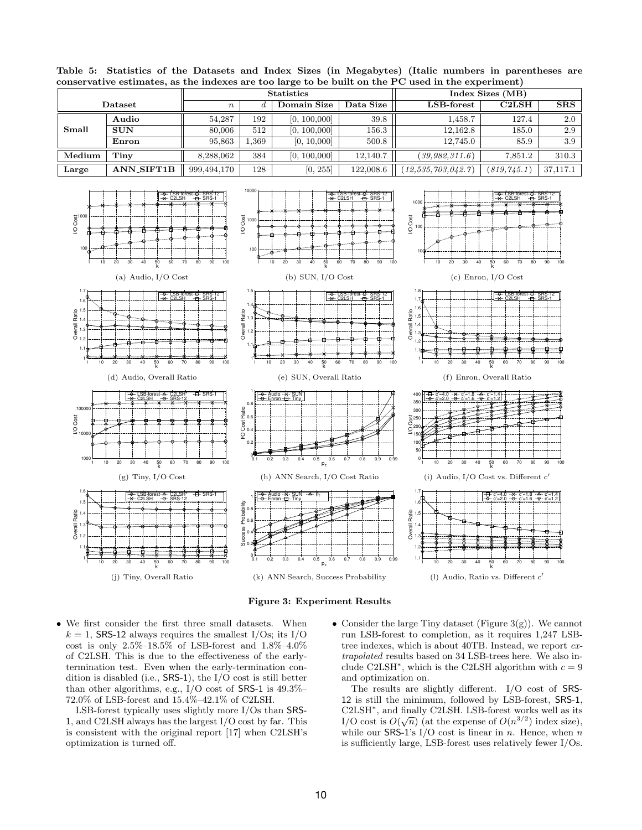

Table 5: Statistics of the Datasets and Index Sizes (in Megabytes) (Italic numbers in parentheses are conservative estimates, as the indexes are too large to be built on the PC used in the experiment)

Figure 3: Experiment Results

• We first consider the first three small datasets. When  $k = 1$ , SRS-12 always requires the smallest I/Os; its I/O cost is only 2.5%–18.5% of LSB-forest and  $1.8\%$ – $4.0\%$ of C2LSH. This is due to the effectiveness of the earlytermination test. Even when the early-termination condition is disabled (i.e., SRS-1), the I/O cost is still better than other algorithms, e.g., I/O cost of SRS-1 is 49.3%– 72.0% of LSB-forest and 15.4%–42.1% of C2LSH.

LSB-forest typically uses slightly more I/Os than SRS-1, and C2LSH always has the largest I/O cost by far. This is consistent with the original report [17] when C2LSH's optimization is turned off.

• Consider the large Tiny dataset (Figure  $3(g)$ ). We cannot run LSB-forest to completion, as it requires 1,247 LSBtree indexes, which is about 40TB. Instead, we report extrapolated results based on 34 LSB-trees here. We also include C2LSH<sup>\*</sup>, which is the C2LSH algorithm with  $c = 9$ and optimization on.

The results are slightly different. I/O cost of SRS-12 is still the minimum, followed by LSB-forest, SRS-1, C2LSH<sup>∗</sup> , and finally C2LSH. LSB-forest works well as its  $U2LST$ , and inally  $U2LST$ . LSB-lorest works well as its<br>I/O cost is  $O(\sqrt{n})$  (at the expense of  $O(n^{3/2})$  index size), while our SRS-1's I/O cost is linear in  $n$ . Hence, when  $n$ is sufficiently large, LSB-forest uses relatively fewer I/Os.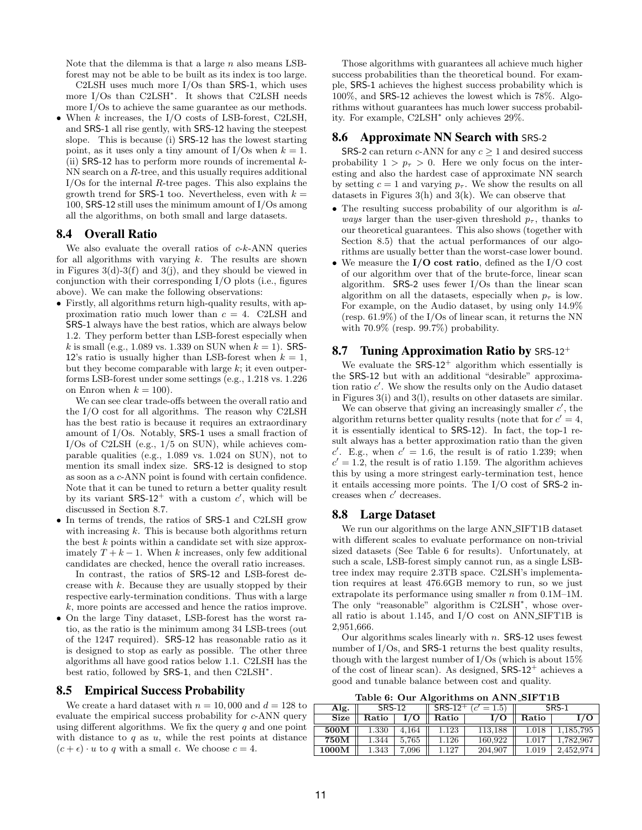Note that the dilemma is that a large  $n$  also means LSBforest may not be able to be built as its index is too large. C2LSH uses much more I/Os than SRS-1, which uses more I/Os than C2LSH<sup>∗</sup> . It shows that C2LSH needs

more I/Os to achieve the same guarantee as our methods. • When k increases, the I/O costs of LSB-forest, C2LSH, and SRS-1 all rise gently, with SRS-12 having the steepest slope. This is because (i) SRS-12 has the lowest starting point, as it uses only a tiny amount of I/Os when  $k = 1$ . (ii) SRS-12 has to perform more rounds of incremental  $k$ -NN search on a R-tree, and this usually requires additional  $I/Os$  for the internal  $R$ -tree pages. This also explains the growth trend for SRS-1 too. Nevertheless, even with  $k =$ 100, SRS-12 still uses the minimum amount of I/Os among all the algorithms, on both small and large datasets.

# 8.4 Overall Ratio

We also evaluate the overall ratios of  $c-k-ANN$  queries for all algorithms with varying  $k$ . The results are shown in Figures  $3(d)-3(f)$  and  $3(j)$ , and they should be viewed in conjunction with their corresponding I/O plots (i.e., figures above). We can make the following observations:

• Firstly, all algorithms return high-quality results, with approximation ratio much lower than  $c = 4$ . C2LSH and SRS-1 always have the best ratios, which are always below 1.2. They perform better than LSB-forest especially when *k* is small (e.g., 1.089 vs. 1.339 on SUN when  $k = 1$ ). SRS-12's ratio is usually higher than LSB-forest when  $k = 1$ , but they become comparable with large  $k$ ; it even outperforms LSB-forest under some settings (e.g., 1.218 vs. 1.226 on Enron when  $k = 100$ ).

We can see clear trade-offs between the overall ratio and the I/O cost for all algorithms. The reason why C2LSH has the best ratio is because it requires an extraordinary amount of I/Os. Notably, SRS-1 uses a small fraction of I/Os of C2LSH (e.g., 1/5 on SUN), while achieves comparable qualities (e.g., 1.089 vs. 1.024 on SUN), not to mention its small index size. SRS-12 is designed to stop as soon as a c-ANN point is found with certain confidence. Note that it can be tuned to return a better quality result by its variant  $SRS-12^+$  with a custom c', which will be discussed in Section 8.7.

- In terms of trends, the ratios of **SRS-1** and C2LSH grow with increasing  $k$ . This is because both algorithms return the best  $k$  points within a candidate set with size approximately  $T + k - 1$ . When k increases, only few additional candidates are checked, hence the overall ratio increases. In contrast, the ratios of SRS-12 and LSB-forest decrease with k. Because they are usually stopped by their respective early-termination conditions. Thus with a large k, more points are accessed and hence the ratios improve.
- On the large Tiny dataset, LSB-forest has the worst ratio, as the ratio is the minimum among 34 LSB-trees (out of the 1247 required). SRS-12 has reasonable ratio as it is designed to stop as early as possible. The other three algorithms all have good ratios below 1.1. C2LSH has the best ratio, followed by SRS-1, and then C2LSH<sup>∗</sup> .

#### 8.5 Empirical Success Probability

We create a hard dataset with  $n = 10,000$  and  $d = 128$  to evaluate the empirical success probability for c-ANN query using different algorithms. We fix the query  $q$  and one point with distance to  $q$  as  $u$ , while the rest points at distance  $(c + \epsilon) \cdot u$  to q with a small  $\epsilon$ . We choose  $c = 4$ .

Those algorithms with guarantees all achieve much higher success probabilities than the theoretical bound. For example, SRS-1 achieves the highest success probability which is 100%, and SRS-12 achieves the lowest which is 78%. Algorithms without guarantees has much lower success probability. For example, C2LSH<sup>∗</sup> only achieves 29%.

### 8.6 Approximate NN Search with SRS-2

**SRS-2** can return c-ANN for any  $c > 1$  and desired success probability  $1 > p_{\tau} > 0$ . Here we only focus on the interesting and also the hardest case of approximate NN search by setting  $c = 1$  and varying  $p_{\tau}$ . We show the results on all datasets in Figures  $3(h)$  and  $3(k)$ . We can observe that

- The resulting success probability of our algorithm is always larger than the user-given threshold  $p_{\tau}$ , thanks to our theoretical guarantees. This also shows (together with Section 8.5) that the actual performances of our algorithms are usually better than the worst-case lower bound.
- We measure the I/O cost ratio, defined as the I/O cost of our algorithm over that of the brute-force, linear scan algorithm. SRS-2 uses fewer I/Os than the linear scan algorithm on all the datasets, especially when  $p_{\tau}$  is low. For example, on the Audio dataset, by using only 14.9% (resp. 61.9%) of the I/Os of linear scan, it returns the NN with 70.9% (resp. 99.7%) probability.

### 8.7 Tuning Approximation Ratio by SRS-12<sup>+</sup>

We evaluate the  $SRS-12^+$  algorithm which essentially is the SRS-12 but with an additional "desirable" approximation ratio  $c'$ . We show the results only on the Audio dataset in Figures 3(i) and 3(l), results on other datasets are similar.

We can observe that giving an increasingly smaller  $c'$ , the algorithm returns better quality results (note that for  $c' = 4$ , it is essentially identical to SRS-12). In fact, the top-1 result always has a better approximation ratio than the given c'. E.g., when  $c' = 1.6$ , the result is of ratio 1.239; when  $c' = 1.2$ , the result is of ratio 1.159. The algorithm achieves this by using a more stringest early-termination test, hence it entails accessing more points. The I/O cost of SRS-2 increases when  $c'$  decreases.

#### 8.8 Large Dataset

We run our algorithms on the large ANN SIFT1B dataset with different scales to evaluate performance on non-trivial sized datasets (See Table 6 for results). Unfortunately, at such a scale, LSB-forest simply cannot run, as a single LSBtree index may require 2.3TB space. C2LSH's implementation requires at least 476.6GB memory to run, so we just extrapolate its performance using smaller n from 0.1M–1M. The only "reasonable" algorithm is C2LSH<sup>\*</sup>, whose overall ratio is about 1.145, and I/O cost on ANN SIFT1B is 2,951,666.

Our algorithms scales linearly with  $n$ . SRS-12 uses fewest number of I/Os, and **SRS-1** returns the best quality results, though with the largest number of I/Os (which is about 15% of the cost of linear scan). As designed,  $SRS-12^+$  achieves a good and tunable balance between cost and quality.

Table 6: Our Algorithms on ANN SIFT1B

| Alg.             | <b>SRS-12</b> |       | $SRS-12$ <sup>+</sup><br>$t' = 1.5$<br>( c' |         | SRS-1     |           |
|------------------|---------------|-------|---------------------------------------------|---------|-----------|-----------|
| <b>Size</b>      | Ratio         |       | Ratio                                       |         | Ratio     | I/O       |
| 500M             | 1.330         | 4.164 | 1.123                                       | 113.188 | 1.018     | l.185.795 |
| 750M             | 1.344         | 5.765 | 1.126                                       | 160,922 | $1.017\,$ | 1.782.967 |
| $1000\mathrm{M}$ | 1.343         | 7,096 | .127                                        | 204,907 | $1.019\,$ | 2,452,974 |